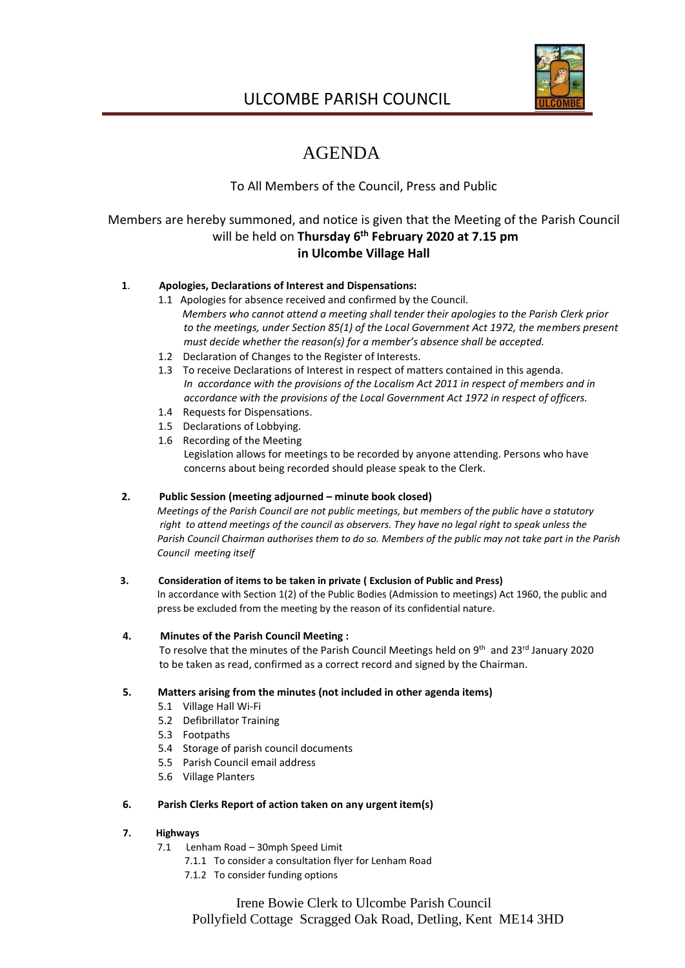

# ULCOMBE PARISH COUNCIL

# AGENDA

# To All Members of the Council, Press and Public

# Members are hereby summoned, and notice is given that the Meeting of the Parish Council will be held on **Thursday 6 th February 2020 at 7.15 pm in Ulcombe Village Hall**

## **1**. **Apologies, Declarations of Interest and Dispensations:**

- 1.1 Apologies for absence received and confirmed by the Council. *Members who cannot attend a meeting shall tender their apologies to the Parish Clerk prior to the meetings, under Section 85(1) of the Local Government Act 1972, the members present must decide whether the reason(s) for a member's absence shall be accepted.*
- 1.2 Declaration of Changes to the Register of Interests.
- 1.3 To receive Declarations of Interest in respect of matters contained in this agenda. *In accordance with the provisions of the Localism Act 2011 in respect of members and in accordance with the provisions of the Local Government Act 1972 in respect of officers.*
- 1.4 Requests for Dispensations.
- 1.5 Declarations of Lobbying.
- 1.6 Recording of the Meeting Legislation allows for meetings to be recorded by anyone attending. Persons who have concerns about being recorded should please speak to the Clerk.

## **2. Public Session (meeting adjourned – minute book closed)**

 *Meetings of the Parish Council are not public meetings, but members of the public have a statutory right to attend meetings of the council as observers. They have no legal right to speak unless the Parish Council Chairman authorises them to do so. Members of the public may not take part in the Parish Council meeting itself*

## **3. Consideration of items to be taken in private ( Exclusion of Public and Press)**

 In accordance with Section 1(2) of the Public Bodies (Admission to meetings) Act 1960, the public and press be excluded from the meeting by the reason of its confidential nature.

## **4. Minutes of the Parish Council Meeting :**

To resolve that the minutes of the Parish Council Meetings held on 9<sup>th</sup> and 23<sup>rd</sup> January 2020 to be taken as read, confirmed as a correct record and signed by the Chairman.

## **5. Matters arising from the minutes (not included in other agenda items)**

- 5.1 Village Hall Wi-Fi
- 5.2 Defibrillator Training
- 5.3 Footpaths
- 5.4 Storage of parish council documents
- 5.5 Parish Council email address
- 5.6 Village Planters

## **6. Parish Clerks Report of action taken on any urgent item(s)**

## **7. Highways**

- 7.1 Lenham Road 30mph Speed Limit
	- 7.1.1 To consider a consultation flyer for Lenham Road
	- 7.1.2 To consider funding options

Irene Bowie Clerk to Ulcombe Parish Council Pollyfield Cottage Scragged Oak Road, Detling, Kent ME14 3HD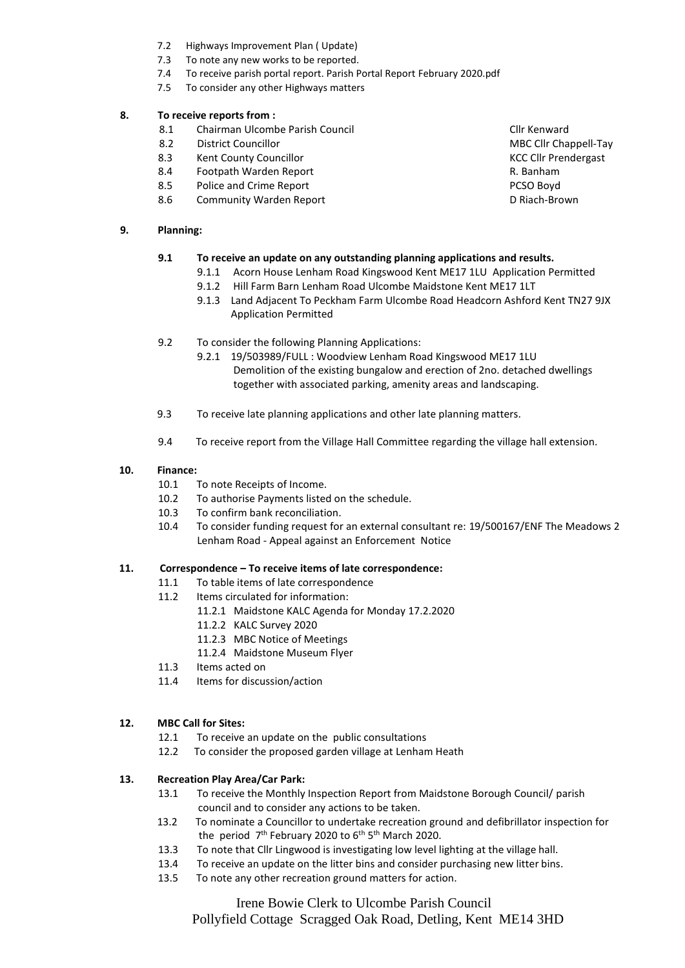- 7.2 Highways Improvement Plan ( Update)
- 7.3 To note any new works to be reported.
- 7.4 To receive parish portal report. Parish Portal Report February 2020.pdf
- 7.5 To consider any other Highways matters

#### **8. To receive reports from :**

- 8.1 Chairman Ulcombe Parish Council Club Club Council Clir Kenward<br>8.2 Clir Councillor Council Council Cha
- 
- 8.3 Kent County Councillor Communication Councillor Council County Council County Council County Council County Council County Council County Council County Council County Council County Council County Council County Counc
- 8.4 Footpath Warden Report **R. Banham**
- 8.5 Police and Crime Report **PCSO Boyd** PCSO Boyd
- 8.6 Community Warden Report D Riach-Brown

#### **9. Planning:**

## **9.1 To receive an update on any outstanding planning applications and results.**

- 9.1.1 Acorn House Lenham Road Kingswood Kent ME17 1LU Application Permitted
- 9.1.2 Hill Farm Barn Lenham Road Ulcombe Maidstone Kent ME17 1LT
- 9.1.3 Land Adjacent To Peckham Farm Ulcombe Road Headcorn Ashford Kent TN27 9JX Application Permitted
- 9.2 To consider the following Planning Applications:
	- 9.2.1 19/503989/FULL : Woodview Lenham Road Kingswood ME17 1LU Demolition of the existing bungalow and erection of 2no. detached dwellings together with associated parking, amenity areas and landscaping.
- 9.3 To receive late planning applications and other late planning matters.
- 9.4 To receive report from the Village Hall Committee regarding the village hall extension.

#### **10. Finance:**

- 10.1 To note Receipts of Income.
- 10.2 To authorise Payments listed on the schedule.
- 10.3 To confirm bank reconciliation.
- 10.4 To consider funding request for an external consultant re: 19/500167/ENF The Meadows 2 Lenham Road - Appeal against an Enforcement Notice

#### **11. Correspondence – To receive items of late correspondence:**

- 11.1 To table items of late correspondence
- 11.2 Items circulated for information:
	- 11.2.1 Maidstone KALC Agenda for Monday 17.2.2020
	- 11.2.2 KALC Survey 2020
	- 11.2.3 MBC Notice of Meetings
	- 11.2.4 Maidstone Museum Flyer
- 11.3 Items acted on
- 11.4 Items for discussion/action

## **12. MBC Call for Sites:**

- 12.1 To receive an update on the public consultations
- 12.2To consider the proposed garden village at Lenham Heath

## **13. Recreation Play Area/Car Park:**

- 13.1 To receive the Monthly Inspection Report from Maidstone Borough Council/ parish council and to consider any actions to be taken.
- 13.2 To nominate a Councillor to undertake recreation ground and defibrillator inspection for the period 7<sup>th</sup> February 2020 to 6<sup>th</sup> 5<sup>th</sup> March 2020.
	- 13.3 To note that Cllr Lingwood is investigating low level lighting at the village hall.
	- 13.4 To receive an update on the litter bins and consider purchasing new litter bins.
	- 13.5 To note any other recreation ground matters for action.

Irene Bowie Clerk to Ulcombe Parish Council Pollyfield Cottage Scragged Oak Road, Detling, Kent ME14 3HD

**District Councillor Councillor Councillor** MBC Cllr Chappell-Tay